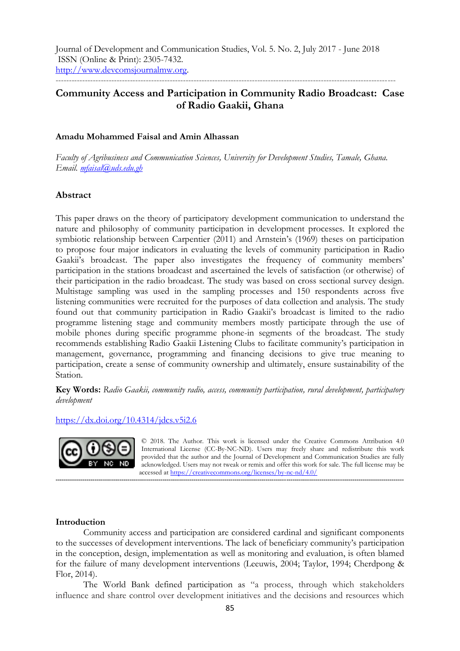Journal of Development and Communication Studies, Vol. 5. No. 2, July 2017 - June 2018 ISSN (Online & Print): 2305-7432. [http://www.devcomsjournalmw.org.](http://www.devcomsjournalmw.org/)

# **Community Access and Participation in Community Radio Broadcast: Case of Radio Gaakii, Ghana**

--------------------------------------------------------------------------------------------------------------------------------

# **Amadu Mohammed Faisal and Amin Alhassan**

*Faculty of Agribusiness and Communication Sciences, University for Development Studies, Tamale, Ghana. Email. [mfaisal@uds.edu.gh](mailto:mfaisal@uds.edu.gh)*

## **Abstract**

This paper draws on the theory of participatory development communication to understand the nature and philosophy of community participation in development processes. It explored the symbiotic relationship between Carpentier (2011) and Arnstein's (1969) theses on participation to propose four major indicators in evaluating the levels of community participation in Radio Gaakii's broadcast. The paper also investigates the frequency of community members' participation in the stations broadcast and ascertained the levels of satisfaction (or otherwise) of their participation in the radio broadcast. The study was based on cross sectional survey design. Multistage sampling was used in the sampling processes and 150 respondents across five listening communities were recruited for the purposes of data collection and analysis. The study found out that community participation in Radio Gaakii's broadcast is limited to the radio programme listening stage and community members mostly participate through the use of mobile phones during specific programme phone-in segments of the broadcast. The study recommends establishing Radio Gaakii Listening Clubs to facilitate community's participation in management, governance, programming and financing decisions to give true meaning to participation, create a sense of community ownership and ultimately, ensure sustainability of the Station.

**Key Words:** *Radio Gaakii, community radio, access, community participation, rural development, participatory development*

# <https://dx.doi.org/10.4314/jdcs.v5i2.6>



© 2018. The Author. This work is licensed under the Creative Commons Attribution 4.0 International License (CC-By-NC-ND). Users may freely share and redistribute this work provided that the author and the Journal of Development and Communication Studies are fully acknowledged. Users may not tweak or remix and offer this work for sale. The full license may be accessed a[t https://creativecommons.org/licenses/by-nc-nd/4.0/](https://creativecommons.org/licenses/by-nc-nd/4.0/)

#### **Introduction**

Community access and participation are considered cardinal and significant components to the successes of development interventions. The lack of beneficiary community's participation in the conception, design, implementation as well as monitoring and evaluation, is often blamed for the failure of many development interventions (Leeuwis, 2004; Taylor, 1994; Cherdpong & Flor, 2014).

**-------------------------------------------------------------------------------------------------------------------------------------------------------------------------**

The World Bank defined participation as "a process, through which stakeholders influence and share control over development initiatives and the decisions and resources which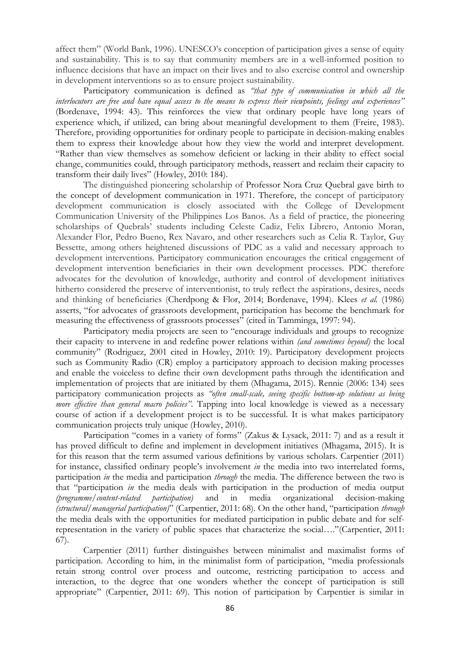affect them" (World Bank, 1996). UNESCO's conception of participation gives a sense of equity and sustainability. This is to say that community members are in a well-informed position to influence decisions that have an impact on their lives and to also exercise control and ownership in development interventions so as to ensure project sustainability.

Participatory communication is defined as *"that type of communication in which all the interlocutors are free and have equal access to the means to express their viewpoints, feelings and experiences"* (Bordenave, 1994: 43). This reinforces the view that ordinary people have long years of experience which, if utilized, can bring about meaningful development to them (Freire, 1983). Therefore, providing opportunities for ordinary people to participate in decision-making enables them to express their knowledge about how they view the world and interpret development. "Rather than view themselves as somehow deficient or lacking in their ability to effect social change, communities could, through participatory methods, reassert and reclaim their capacity to transform their daily lives" (Howley, 2010: 184).

The distinguished pioneering scholarship of Professor Nora Cruz Quebral gave birth to the concept of development communication in 1971. Therefore, the concept of participatory development communication is closely associated with the College of Development Communication University of the Philippines Los Banos. As a field of practice, the pioneering scholarships of Quebrals' students including Celeste Cadiz, Felix Librero, Antonio Moran, Alexander Flor, Pedro Bueno, Rex Navaro, and other researchers such as Celia R. Taylor, Guy Bessette, among others heightened discussions of PDC as a valid and necessary approach to development interventions. Participatory communication encourages the critical engagement of development intervention beneficiaries in their own development processes. PDC therefore advocates for the devolution of knowledge, authority and control of development initiatives hitherto considered the preserve of interventionist, to truly reflect the aspirations, desires, needs and thinking of beneficiaries (Cherdpong & Flor, 2014; Bordenave, 1994). Klees *et al.* (1986) asserts, "for advocates of grassroots development, participation has become the benchmark for measuring the effectiveness of grassroots processes" (cited in Tamminga, 1997: 94).

Participatory media projects are seen to "encourage individuals and groups to recognize their capacity to intervene in and redefine power relations within *(and sometimes beyond)* the local community" (Rodriguez, 2001 cited in Howley, 2010: 19). Participatory development projects such as Community Radio (CR) employ a participatory approach to decision making processes and enable the voiceless to define their own development paths through the identification and implementation of projects that are initiated by them (Mhagama, 2015). Rennie (2006: 134) sees participatory communication projects as *"often small-scale, seeing specific bottom-up solutions as being more effective than general macro policies"*. Tapping into local knowledge is viewed as a necessary course of action if a development project is to be successful. It is what makes participatory communication projects truly unique (Howley, 2010).

Participation "comes in a variety of forms" (Zakus & Lysack, 2011: 7) and as a result it has proved difficult to define and implement in development initiatives (Mhagama, 2015). It is for this reason that the term assumed various definitions by various scholars. Carpentier (2011) for instance, classified ordinary people's involvement *in* the media into two interrelated forms, participation *in* the media and participation *through* the media. The difference between the two is that "participation *in* the media deals with participation in the production of media output *(programme/content-related participation)* and in media organizational decision-making *(structural/managerial participation)*" (Carpentier, 2011: 68). On the other hand, "participation *through*  the media deals with the opportunities for mediated participation in public debate and for selfrepresentation in the variety of public spaces that characterize the social…."(Carpentier, 2011: 67).

Carpentier (2011) further distinguishes between minimalist and maximalist forms of participation. According to him, in the minimalist form of participation, "media professionals retain strong control over process and outcome, restricting participation to access and interaction, to the degree that one wonders whether the concept of participation is still appropriate" (Carpentier, 2011: 69). This notion of participation by Carpentier is similar in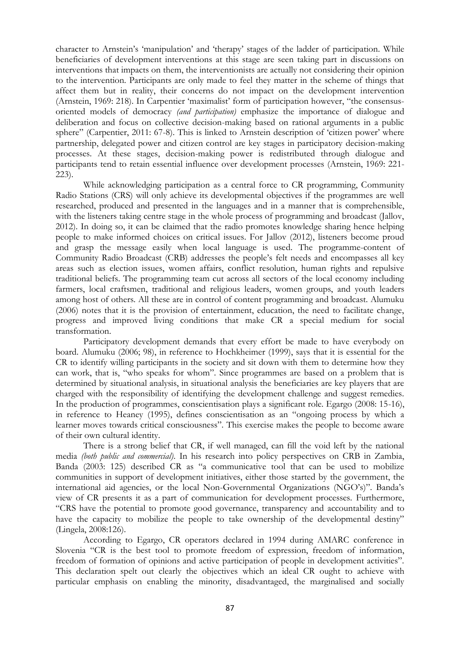character to Arnstein's 'manipulation' and 'therapy' stages of the ladder of participation. While beneficiaries of development interventions at this stage are seen taking part in discussions on interventions that impacts on them, the interventionists are actually not considering their opinion to the intervention. Participants are only made to feel they matter in the scheme of things that affect them but in reality, their concerns do not impact on the development intervention (Arnstein, 1969: 218). In Carpentier 'maximalist' form of participation however, "the consensusoriented models of democracy *(and participation)* emphasize the importance of dialogue and deliberation and focus on collective decision-making based on rational arguments in a public sphere" (Carpentier, 2011: 67-8). This is linked to Arnstein description of 'citizen power' where partnership, delegated power and citizen control are key stages in participatory decision-making processes. At these stages, decision-making power is redistributed through dialogue and participants tend to retain essential influence over development processes (Arnstein, 1969: 221- 223).

While acknowledging participation as a central force to CR programming, Community Radio Stations (CRS) will only achieve its developmental objectives if the programmes are well researched, produced and presented in the languages and in a manner that is comprehensible, with the listeners taking centre stage in the whole process of programming and broadcast (Jallov, 2012). In doing so, it can be claimed that the radio promotes knowledge sharing hence helping people to make informed choices on critical issues. For Jallov (2012), listeners become proud and grasp the message easily when local language is used. The programme-content of Community Radio Broadcast (CRB) addresses the people's felt needs and encompasses all key areas such as election issues, women affairs, conflict resolution, human rights and repulsive traditional beliefs. The programming team cut across all sectors of the local economy including farmers, local craftsmen, traditional and religious leaders, women groups, and youth leaders among host of others. All these are in control of content programming and broadcast. Alumuku (2006) notes that it is the provision of entertainment, education, the need to facilitate change, progress and improved living conditions that make CR a special medium for social transformation.

Participatory development demands that every effort be made to have everybody on board. Alumuku (2006; 98), in reference to Hochkheimer (1999), says that it is essential for the CR to identify willing participants in the society and sit down with them to determine how they can work, that is, "who speaks for whom". Since programmes are based on a problem that is determined by situational analysis, in situational analysis the beneficiaries are key players that are charged with the responsibility of identifying the development challenge and suggest remedies. In the production of programmes, conscientisation plays a significant role. Egargo (2008: 15-16), in reference to Heaney (1995), defines conscientisation as an "ongoing process by which a learner moves towards critical consciousness". This exercise makes the people to become aware of their own cultural identity.

There is a strong belief that CR, if well managed, can fill the void left by the national media *(both public and commercial)*. In his research into policy perspectives on CRB in Zambia, Banda (2003: 125) described CR as "a communicative tool that can be used to mobilize communities in support of development initiatives, either those started by the government, the international aid agencies, or the local Non-Governmental Organizations (NGO's)". Banda's view of CR presents it as a part of communication for development processes. Furthermore, "CRS have the potential to promote good governance, transparency and accountability and to have the capacity to mobilize the people to take ownership of the developmental destiny" (Lingela, 2008:126).

According to Egargo, CR operators declared in 1994 during AMARC conference in Slovenia "CR is the best tool to promote freedom of expression, freedom of information, freedom of formation of opinions and active participation of people in development activities". This declaration spelt out clearly the objectives which an ideal CR ought to achieve with particular emphasis on enabling the minority, disadvantaged, the marginalised and socially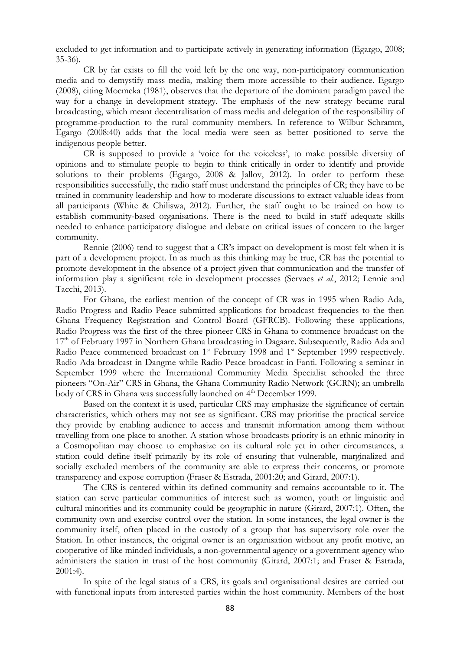excluded to get information and to participate actively in generating information (Egargo, 2008; 35-36).

CR by far exists to fill the void left by the one way, non-participatory communication media and to demystify mass media, making them more accessible to their audience. Egargo (2008), citing Moemeka (1981), observes that the departure of the dominant paradigm paved the way for a change in development strategy. The emphasis of the new strategy became rural broadcasting, which meant decentralisation of mass media and delegation of the responsibility of programme-production to the rural community members. In reference to Wilbur Schramm, Egargo (2008:40) adds that the local media were seen as better positioned to serve the indigenous people better.

CR is supposed to provide a 'voice for the voiceless', to make possible diversity of opinions and to stimulate people to begin to think critically in order to identify and provide solutions to their problems (Egargo, 2008 & Jallov, 2012). In order to perform these responsibilities successfully, the radio staff must understand the principles of CR; they have to be trained in community leadership and how to moderate discussions to extract valuable ideas from all participants (White & Chiliswa, 2012). Further, the staff ought to be trained on how to establish community-based organisations. There is the need to build in staff adequate skills needed to enhance participatory dialogue and debate on critical issues of concern to the larger community.

Rennie (2006) tend to suggest that a CR's impact on development is most felt when it is part of a development project. In as much as this thinking may be true, CR has the potential to promote development in the absence of a project given that communication and the transfer of information play a significant role in development processes (Servaes *et al.*, 2012; Lennie and Tacchi, 2013).

For Ghana, the earliest mention of the concept of CR was in 1995 when Radio Ada, Radio Progress and Radio Peace submitted applications for broadcast frequencies to the then Ghana Frequency Registration and Control Board (GFRCB). Following these applications, Radio Progress was the first of the three pioneer CRS in Ghana to commence broadcast on the 17<sup>th</sup> of February 1997 in Northern Ghana broadcasting in Dagaare. Subsequently, Radio Ada and Radio Peace commenced broadcast on 1<sup>st</sup> February 1998 and 1<sup>st</sup> September 1999 respectively. Radio Ada broadcast in Dangme while Radio Peace broadcast in Fanti. Following a seminar in September 1999 where the International Community Media Specialist schooled the three pioneers "On-Air" CRS in Ghana, the Ghana Community Radio Network (GCRN); an umbrella body of CRS in Ghana was successfully launched on 4<sup>th</sup> December 1999.

Based on the context it is used, particular CRS may emphasize the significance of certain characteristics, which others may not see as significant. CRS may prioritise the practical service they provide by enabling audience to access and transmit information among them without travelling from one place to another. A station whose broadcasts priority is an ethnic minority in a Cosmopolitan may choose to emphasize on its cultural role yet in other circumstances, a station could define itself primarily by its role of ensuring that vulnerable, marginalized and socially excluded members of the community are able to express their concerns, or promote transparency and expose corruption (Fraser & Estrada, 2001:20; and Girard, 2007:1).

The CRS is centered within its defined community and remains accountable to it. The station can serve particular communities of interest such as women, youth or linguistic and cultural minorities and its community could be geographic in nature (Girard, 2007:1). Often, the community own and exercise control over the station. In some instances, the legal owner is the community itself, often placed in the custody of a group that has supervisory role over the Station. In other instances, the original owner is an organisation without any profit motive, an cooperative of like minded individuals, a non-governmental agency or a government agency who administers the station in trust of the host community (Girard, 2007:1; and Fraser & Estrada, 2001:4).

In spite of the legal status of a CRS, its goals and organisational desires are carried out with functional inputs from interested parties within the host community. Members of the host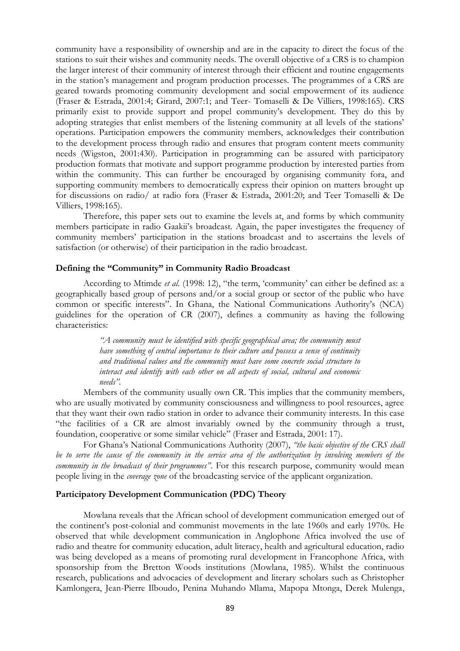community have a responsibility of ownership and are in the capacity to direct the focus of the stations to suit their wishes and community needs. The overall objective of a CRS is to champion the larger interest of their community of interest through their efficient and routine engagements in the station's management and program production processes. The programmes of a CRS are geared towards promoting community development and social empowerment of its audience (Fraser & Estrada, 2001:4; Girard, 2007:1; and Teer- Tomaselli & De Villiers, 1998:165). CRS primarily exist to provide support and propel community's development. They do this by adopting strategies that enlist members of the listening community at all levels of the stations' operations. Participation empowers the community members, acknowledges their contribution to the development process through radio and ensures that program content meets community needs (Wigston, 2001:430). Participation in programming can be assured with participatory production formats that motivate and support programme production by interested parties from within the community. This can further be encouraged by organising community fora, and supporting community members to democratically express their opinion on matters brought up for discussions on radio/ at radio fora (Fraser & Estrada, 2001:20; and Teer Tomaselli & De Villiers, 1998:165).

Therefore, this paper sets out to examine the levels at, and forms by which community members participate in radio Gaakii's broadcast. Again, the paper investigates the frequency of community members' participation in the stations broadcast and to ascertains the levels of satisfaction (or otherwise) of their participation in the radio broadcast.

## **Defining the "Community" in Community Radio Broadcast**

According to Mtimde *et al*. (1998: 12), "the term, 'community' can either be defined as: a geographically based group of persons and/or a social group or sector of the public who have common or specific interests". In Ghana, the National Communications Authority's (NCA) guidelines for the operation of CR (2007), defines a community as having the following characteristics:

> *"A community must be identified with specific geographical area; the community must have something of central importance to their culture and possess a sense of continuity and traditional values and the community must have some concrete social structure to interact and identify with each other on all aspects of social, cultural and economic needs".*

Members of the community usually own CR. This implies that the community members, who are usually motivated by community consciousness and willingness to pool resources, agree that they want their own radio station in order to advance their community interests. In this case "the facilities of a CR are almost invariably owned by the community through a trust, foundation, cooperative or some similar vehicle" (Fraser and Estrada, 2001: 17).

For Ghana's National Communications Authority (2007), *"the basic objective of the CRS shall be to serve the cause of the community in the service area of the authorization by involving members of the community in the broadcast of their programmes*". For this research purpose, community would mean people living in the *coverage zone* of the broadcasting service of the applicant organization.

#### **Participatory Development Communication (PDC) Theory**

Mowlana reveals that the African school of development communication emerged out of the continent's post-colonial and communist movements in the late 1960s and early 1970s. He observed that while development communication in Anglophone Africa involved the use of radio and theatre for community education, adult literacy, health and agricultural education, radio was being developed as a means of promoting rural development in Francophone Africa, with sponsorship from the Bretton Woods institutions (Mowlana, 1985). Whilst the continuous research, publications and advocacies of development and literary scholars such as Christopher Kamlongera, Jean-Pierre Ilboudo, Penina Muhando Mlama, Mapopa Mtonga, Derek Mulenga,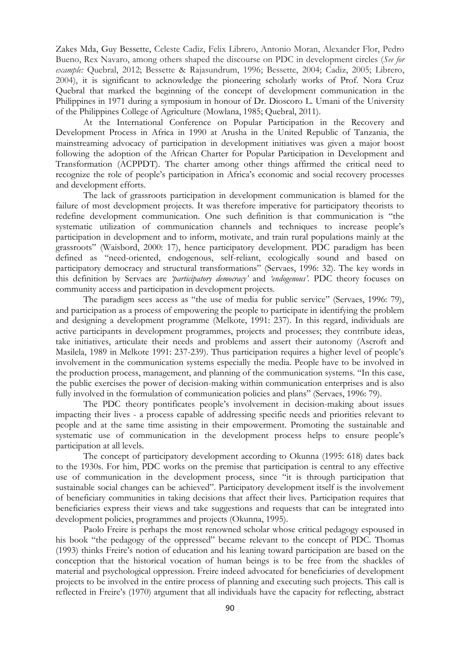Zakes Mda, Guy Bessette, Celeste Cadiz, Felix Librero, Antonio Moran, Alexander Flor, Pedro Bueno, Rex Navaro, among others shaped the discourse on PDC in development circles (*See for example:* Quebral, 2012; Bessette & Rajasundrum, 1996; Bessette, 2004; Cadiz, 2005; Librero, 2004), it is significant to acknowledge the pioneering scholarly works of Prof. Nora Cruz Quebral that marked the beginning of the concept of development communication in the Philippines in 1971 during a symposium in honour of Dr. Dioscoro L. Umani of the University of the Philippines College of Agriculture (Mowlana, 1985; Quebral, 2011).

At the International Conference on Popular Participation in the Recovery and Development Process in Africa in 1990 at Arusha in the United Republic of Tanzania, the mainstreaming advocacy of participation in development initiatives was given a major boost following the adoption of the African Charter for Popular Participation in Development and Transformation (ACPPDT). The charter among other things affirmed the critical need to recognize the role of people's participation in Africa's economic and social recovery processes and development efforts.

The lack of grassroots participation in development communication is blamed for the failure of most development projects. It was therefore imperative for participatory theorists to redefine development communication. One such definition is that communication is "the systematic utilization of communication channels and techniques to increase people's participation in development and to inform, motivate, and train rural populations mainly at the grassroots" (Waisbord, 2000: 17), hence participatory development. PDC paradigm has been defined as "need-oriented, endogenous, self-reliant, ecologically sound and based on participatory democracy and structural transformations" (Servaes, 1996: 32). The key words in this definition by Servaes are *'participatory democracy'* and *'endogenous'*. PDC theory focuses on community access and participation in development projects.

The paradigm sees access as "the use of media for public service" (Servaes, 1996: 79), and participation as a process of empowering the people to participate in identifying the problem and designing a development programme (Melkote, 1991: 237). In this regard, individuals are active participants in development programmes, projects and processes; they contribute ideas, take initiatives, articulate their needs and problems and assert their autonomy (Ascroft and Masilela, 1989 in Melkote 1991: 237-239). Thus participation requires a higher level of people's involvement in the communication systems especially the media. People have to be involved in the production process, management, and planning of the communication systems. "In this case, the public exercises the power of decision-making within communication enterprises and is also fully involved in the formulation of communication policies and plans" (Servaes, 1996: 79).

The PDC theory pontificates people's involvement in decision-making about issues impacting their lives - a process capable of addressing specific needs and priorities relevant to people and at the same time assisting in their empowerment. Promoting the sustainable and systematic use of communication in the development process helps to ensure people's participation at all levels.

The concept of participatory development according to Okunna (1995: 618) dates back to the 1930s. For him, PDC works on the premise that participation is central to any effective use of communication in the development process, since "it is through participation that sustainable social changes can be achieved". Participatory development itself is the involvement of beneficiary communities in taking decisions that affect their lives. Participation requires that beneficiaries express their views and take suggestions and requests that can be integrated into development policies, programmes and projects (Okunna, 1995).

Paolo Freire is perhaps the most renowned scholar whose critical pedagogy espoused in his book "the pedagogy of the oppressed" became relevant to the concept of PDC. Thomas (1993) thinks Freire's notion of education and his leaning toward participation are based on the conception that the historical vocation of human beings is to be free from the shackles of material and psychological oppression. Freire indeed advocated for beneficiaries of development projects to be involved in the entire process of planning and executing such projects. This call is reflected in Freire's (1970) argument that all individuals have the capacity for reflecting, abstract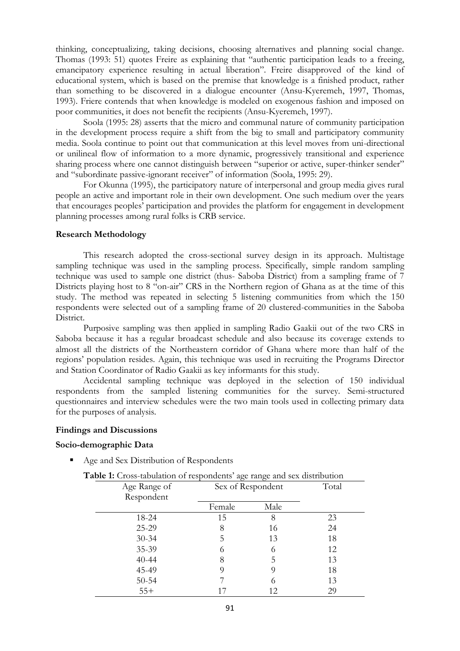thinking, conceptualizing, taking decisions, choosing alternatives and planning social change. Thomas (1993: 51) quotes Freire as explaining that "authentic participation leads to a freeing, emancipatory experience resulting in actual liberation". Freire disapproved of the kind of educational system, which is based on the premise that knowledge is a finished product, rather than something to be discovered in a dialogue encounter (Ansu-Kyeremeh, 1997, Thomas, 1993). Friere contends that when knowledge is modeled on exogenous fashion and imposed on poor communities, it does not benefit the recipients (Ansu-Kyeremeh, 1997).

Soola (1995: 28) asserts that the micro and communal nature of community participation in the development process require a shift from the big to small and participatory community media. Soola continue to point out that communication at this level moves from uni-directional or unilineal flow of information to a more dynamic, progressively transitional and experience sharing process where one cannot distinguish between "superior or active, super-thinker sender" and "subordinate passive-ignorant receiver" of information (Soola, 1995: 29).

For Okunna (1995), the participatory nature of interpersonal and group media gives rural people an active and important role in their own development. One such medium over the years that encourages peoples' participation and provides the platform for engagement in development planning processes among rural folks is CRB service.

#### **Research Methodology**

This research adopted the cross-sectional survey design in its approach. Multistage sampling technique was used in the sampling process. Specifically, simple random sampling technique was used to sample one district (thus- Saboba District) from a sampling frame of 7 Districts playing host to 8 "on-air" CRS in the Northern region of Ghana as at the time of this study. The method was repeated in selecting 5 listening communities from which the 150 respondents were selected out of a sampling frame of 20 clustered-communities in the Saboba District.

Purposive sampling was then applied in sampling Radio Gaakii out of the two CRS in Saboba because it has a regular broadcast schedule and also because its coverage extends to almost all the districts of the Northeastern corridor of Ghana where more than half of the regions' population resides. Again, this technique was used in recruiting the Programs Director and Station Coordinator of Radio Gaakii as key informants for this study.

Accidental sampling technique was deployed in the selection of 150 individual respondents from the sampled listening communities for the survey. Semi-structured questionnaires and interview schedules were the two main tools used in collecting primary data for the purposes of analysis.

#### **Findings and Discussions**

## **Socio-demographic Data**

■ Age and Sex Distribution of Respondents

#### **Table 1:** Cross-tabulation of respondents' age range and sex distribution

| Age Range of | Sex of Respondent |      | Total |
|--------------|-------------------|------|-------|
| Respondent   |                   |      |       |
|              | Female            | Male |       |
| 18-24        | 15                | 8    | 23    |
| 25-29        | 8                 | 16   | 24    |
| $30 - 34$    | 5                 | 13   | 18    |
| 35-39        |                   | 0    | 12    |
| $40 - 44$    | 8                 | 5    | 13    |
| 45-49        |                   |      | 18    |
| $50 - 54$    |                   | O    | 13    |
| $55+$        |                   |      | 29    |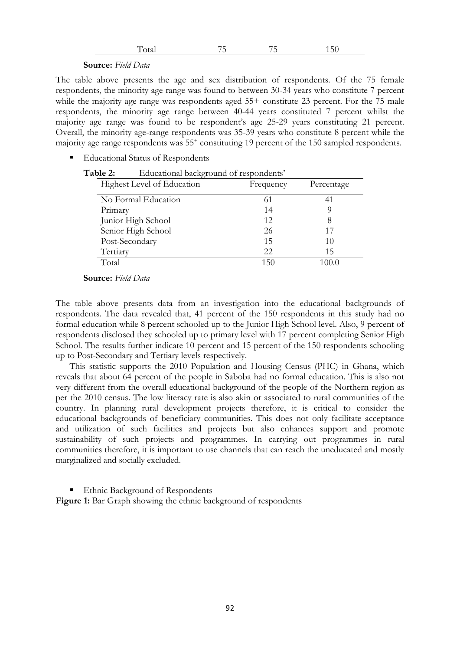| $  -$ |  |  |
|-------|--|--|
|       |  |  |

#### **Source:** *Field Data*

The table above presents the age and sex distribution of respondents. Of the 75 female respondents, the minority age range was found to between 30-34 years who constitute 7 percent while the majority age range was respondents aged  $55+$  constitute 23 percent. For the 75 male respondents, the minority age range between 40-44 years constituted 7 percent whilst the majority age range was found to be respondent's age 25-29 years constituting 21 percent. Overall, the minority age-range respondents was 35-39 years who constitute 8 percent while the majority age range respondents was 55<sup>+</sup> constituting 19 percent of the 150 sampled respondents.

**Educational Status of Respondents** 

| Highest Level of Education | Frequency | Percentage |
|----------------------------|-----------|------------|
| No Formal Education        | 61        | 41         |
| Primary                    | 14        |            |
| Junior High School         | 12        | 8          |
| Senior High School         | 26        |            |
| Post-Secondary             | 15        | 10         |
| Tertiary                   | 22        | 15         |
| Total                      | 150       | 100.0      |

| Table 2: |  | Educational background of respondents' |
|----------|--|----------------------------------------|
|----------|--|----------------------------------------|

**Source:** *Field Data* 

The table above presents data from an investigation into the educational backgrounds of respondents. The data revealed that, 41 percent of the 150 respondents in this study had no formal education while 8 percent schooled up to the Junior High School level. Also, 9 percent of respondents disclosed they schooled up to primary level with 17 percent completing Senior High School. The results further indicate 10 percent and 15 percent of the 150 respondents schooling up to Post-Secondary and Tertiary levels respectively.

This statistic supports the 2010 Population and Housing Census (PHC) in Ghana, which reveals that about 64 percent of the people in Saboba had no formal education. This is also not very different from the overall educational background of the people of the Northern region as per the 2010 census. The low literacy rate is also akin or associated to rural communities of the country. In planning rural development projects therefore, it is critical to consider the educational backgrounds of beneficiary communities. This does not only facilitate acceptance and utilization of such facilities and projects but also enhances support and promote sustainability of such projects and programmes. In carrying out programmes in rural communities therefore, it is important to use channels that can reach the uneducated and mostly marginalized and socially excluded.

**Ethnic Background of Respondents** 

Figure 1: Bar Graph showing the ethnic background of respondents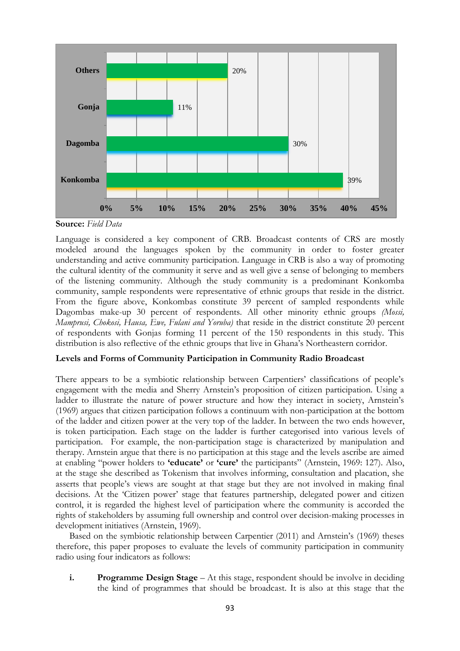

**Source:** *Field Data* 

Language is considered a key component of CRB. Broadcast contents of CRS are mostly modeled around the languages spoken by the community in order to foster greater understanding and active community participation. Language in CRB is also a way of promoting the cultural identity of the community it serve and as well give a sense of belonging to members of the listening community. Although the study community is a predominant Konkomba community, sample respondents were representative of ethnic groups that reside in the district. From the figure above, Konkombas constitute 39 percent of sampled respondents while Dagombas make-up 30 percent of respondents. All other minority ethnic groups *(Mossi, Mamprusi, Chokosi, Hausa, Ewe, Fulani and Yoruba)* that reside in the district constitute 20 percent of respondents with Gonjas forming 11 percent of the 150 respondents in this study. This distribution is also reflective of the ethnic groups that live in Ghana's Northeastern corridor.

## **Levels and Forms of Community Participation in Community Radio Broadcast**

There appears to be a symbiotic relationship between Carpentiers' classifications of people's engagement with the media and Sherry Arnstein's proposition of citizen participation. Using a ladder to illustrate the nature of power structure and how they interact in society, Arnstein's (1969) argues that citizen participation follows a continuum with non-participation at the bottom of the ladder and citizen power at the very top of the ladder. In between the two ends however, is token participation. Each stage on the ladder is further categorised into various levels of participation. For example, the non-participation stage is characterized by manipulation and therapy. Arnstein argue that there is no participation at this stage and the levels ascribe are aimed at enabling "power holders to **'educate'** or **'cure'** the participants" (Arnstein, 1969: 127). Also, at the stage she described as Tokenism that involves informing, consultation and placation, she asserts that people's views are sought at that stage but they are not involved in making final decisions. At the 'Citizen power' stage that features partnership, delegated power and citizen control, it is regarded the highest level of participation where the community is accorded the rights of stakeholders by assuming full ownership and control over decision-making processes in development initiatives (Arnstein, 1969).

Based on the symbiotic relationship between Carpentier (2011) and Arnstein's (1969) theses therefore, this paper proposes to evaluate the levels of community participation in community radio using four indicators as follows:

**i. Programme Design Stage** – At this stage, respondent should be involve in deciding the kind of programmes that should be broadcast. It is also at this stage that the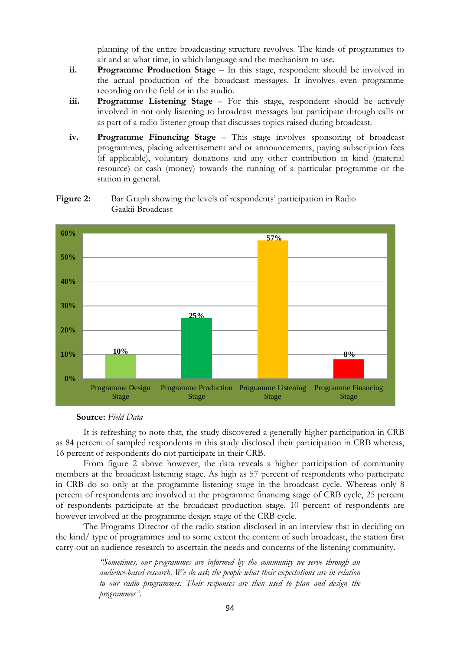planning of the entire broadcasting structure revolves. The kinds of programmes to air and at what time, in which language and the mechanism to use.

- **ii. Programme Production Stage** In this stage, respondent should be involved in the actual production of the broadcast messages. It involves even programme recording on the field or in the studio.
- **iii. Programme Listening Stage** For this stage, respondent should be actively involved in not only listening to broadcast messages but participate through calls or as part of a radio listener group that discusses topics raised during broadcast.
- **iv. Programme Financing Stage** This stage involves sponsoring of broadcast programmes, placing advertisement and or announcements, paying subscription fees (if applicable), voluntary donations and any other contribution in kind (material resource) or cash (money) towards the running of a particular programme or the station in general.



Figure 2: Bar Graph showing the levels of respondents' participation in Radio Gaakii Broadcast

#### **Source:** *Field Data*

It is refreshing to note that, the study discovered a generally higher participation in CRB as 84 percent of sampled respondents in this study disclosed their participation in CRB whereas, 16 percent of respondents do not participate in their CRB.

From figure 2 above however, the data reveals a higher participation of community members at the broadcast listening stage. As high as 57 percent of respondents who participate in CRB do so only at the programme listening stage in the broadcast cycle. Whereas only 8 percent of respondents are involved at the programme financing stage of CRB cycle, 25 percent of respondents participate at the broadcast production stage. 10 percent of respondents are however involved at the programme design stage of the CRB cycle.

The Programs Director of the radio station disclosed in an interview that in deciding on the kind/ type of programmes and to some extent the content of such broadcast, the station first carry-out an audience research to ascertain the needs and concerns of the listening community.

> *"Sometimes, our programmes are informed by the community we serve through an audience-based research. We do ask the people what their expectations are in relation to our radio programmes. Their responses are then used to plan and design the programmes".*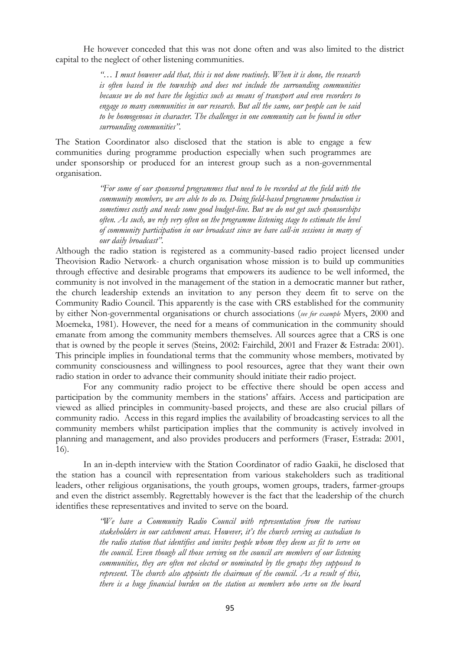He however conceded that this was not done often and was also limited to the district capital to the neglect of other listening communities.

> *"… I must however add that, this is not done routinely. When it is done, the research is often based in the township and does not include the surrounding communities because we do not have the logistics such as means of transport and even recorders to engage so many communities in our research. But all the same, our people can be said to be homogenous in character. The challenges in one community can be found in other surrounding communities".*

The Station Coordinator also disclosed that the station is able to engage a few communities during programme production especially when such programmes are under sponsorship or produced for an interest group such as a non-governmental organisation.

> *"For some of our sponsored programmes that need to be recorded at the field with the community members, we are able to do so. Doing field-based programme production is sometimes costly and needs some good budget-line. But we do not get such sponsorships often. As such, we rely very often on the programme listening stage to estimate the level of community participation in our broadcast since we have call-in sessions in many of our daily broadcast".*

Although the radio station is registered as a community-based radio project licensed under Theovision Radio Network- a church organisation whose mission is to build up communities through effective and desirable programs that empowers its audience to be well informed, the community is not involved in the management of the station in a democratic manner but rather, the church leadership extends an invitation to any person they deem fit to serve on the Community Radio Council. This apparently is the case with CRS established for the community by either Non-governmental organisations or church associations (*see for example* Myers, 2000 and Moemeka, 1981). However, the need for a means of communication in the community should emanate from among the community members themselves. All sources agree that a CRS is one that is owned by the people it serves (Steins, 2002: Fairchild, 2001 and Frazer & Estrada: 2001). This principle implies in foundational terms that the community whose members, motivated by community consciousness and willingness to pool resources, agree that they want their own radio station in order to advance their community should initiate their radio project.

For any community radio project to be effective there should be open access and participation by the community members in the stations' affairs. Access and participation are viewed as allied principles in community-based projects, and these are also crucial pillars of community radio. Access in this regard implies the availability of broadcasting services to all the community members whilst participation implies that the community is actively involved in planning and management, and also provides producers and performers (Fraser, Estrada: 2001, 16).

In an in-depth interview with the Station Coordinator of radio Gaakii, he disclosed that the station has a council with representation from various stakeholders such as traditional leaders, other religious organisations, the youth groups, women groups, traders, farmer-groups and even the district assembly. Regrettably however is the fact that the leadership of the church identifies these representatives and invited to serve on the board.

> *"We have a Community Radio Council with representation from the various stakeholders in our catchment areas. However, it's the church serving as custodian to the radio station that identifies and invites people whom they deem as fit to serve on the council. Even though all those serving on the council are members of our listening communities, they are often not elected or nominated by the groups they supposed to represent. The church also appoints the chairman of the council. As a result of this, there is a huge financial burden on the station as members who serve on the board*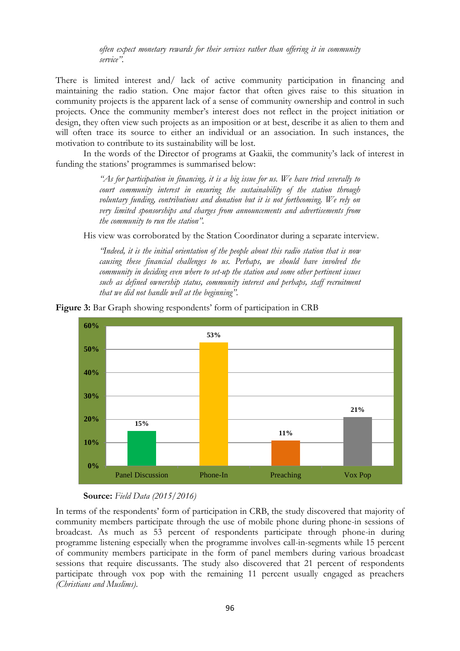*often expect monetary rewards for their services rather than offering it in community service".* 

There is limited interest and/ lack of active community participation in financing and maintaining the radio station. One major factor that often gives raise to this situation in community projects is the apparent lack of a sense of community ownership and control in such projects. Once the community member's interest does not reflect in the project initiation or design, they often view such projects as an imposition or at best, describe it as alien to them and will often trace its source to either an individual or an association. In such instances, the motivation to contribute to its sustainability will be lost.

In the words of the Director of programs at Gaakii, the community's lack of interest in funding the stations' programmes is summarised below:

> *"As for participation in financing, it is a big issue for us. We have tried severally to court community interest in ensuring the sustainability of the station through voluntary funding, contributions and donation but it is not forthcoming. We rely on very limited sponsorships and charges from announcements and advertisements from the community to run the station".*

His view was corroborated by the Station Coordinator during a separate interview.

*"Indeed, it is the initial orientation of the people about this radio station that is now causing these financial challenges to us. Perhaps, we should have involved the community in deciding even where to set-up the station and some other pertinent issues such as defined ownership status, community interest and perhaps, staff recruitment that we did not handle well at the beginning".*



**Figure 3:** Bar Graph showing respondents' form of participation in CRB

# **Source:** *Field Data (2015/2016)*

In terms of the respondents' form of participation in CRB, the study discovered that majority of community members participate through the use of mobile phone during phone-in sessions of broadcast. As much as 53 percent of respondents participate through phone-in during programme listening especially when the programme involves call-in-segments while 15 percent of community members participate in the form of panel members during various broadcast sessions that require discussants. The study also discovered that 21 percent of respondents participate through vox pop with the remaining 11 percent usually engaged as preachers *(Christians and Muslims)*.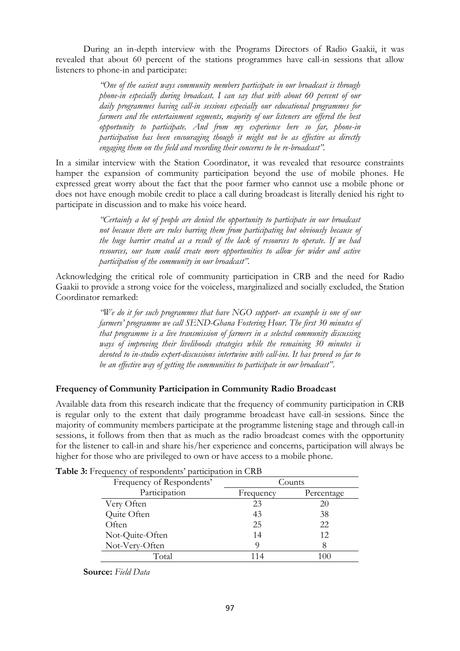During an in-depth interview with the Programs Directors of Radio Gaakii, it was revealed that about 60 percent of the stations programmes have call-in sessions that allow listeners to phone-in and participate:

> *"One of the easiest ways community members participate in our broadcast is through phone-in especially during broadcast. I can say that with about 60 percent of our daily programmes having call-in sessions especially our educational programmes for farmers and the entertainment segments, majority of our listeners are offered the best opportunity to participate. And from my experience here so far, phone-in participation has been encouraging though it might not be as effective as directly engaging them on the field and recording their concerns to be re-broadcast".*

In a similar interview with the Station Coordinator, it was revealed that resource constraints hamper the expansion of community participation beyond the use of mobile phones. He expressed great worry about the fact that the poor farmer who cannot use a mobile phone or does not have enough mobile credit to place a call during broadcast is literally denied his right to participate in discussion and to make his voice heard.

> *"Certainly a lot of people are denied the opportunity to participate in our broadcast not because there are rules barring them from participating but obviously because of the huge barrier created as a result of the lack of resources to operate. If we had resources, our team could create more opportunities to allow for wider and active participation of the community in our broadcast".*

Acknowledging the critical role of community participation in CRB and the need for Radio Gaakii to provide a strong voice for the voiceless, marginalized and socially excluded, the Station Coordinator remarked:

> *"We do it for such programmes that have NGO support- an example is one of our farmers' programme we call SEND-Ghana Fostering Hour. The first 30 minutes of that programme is a live transmission of farmers in a selected community discussing ways of improving their livelihoods strategies while the remaining 30 minutes is devoted to in-studio expert-discussions intertwine with call-ins. It has proved so far to be an effective way of getting the communities to participate in our broadcast"*.

# **Frequency of Community Participation in Community Radio Broadcast**

Available data from this research indicate that the frequency of community participation in CRB is regular only to the extent that daily programme broadcast have call-in sessions. Since the majority of community members participate at the programme listening stage and through call-in sessions, it follows from then that as much as the radio broadcast comes with the opportunity for the listener to call-in and share his/her experience and concerns, participation will always be higher for those who are privileged to own or have access to a mobile phone.

| Frequency of Respondents' | Counts    |            |
|---------------------------|-----------|------------|
| Participation             | Frequency | Percentage |
| Very Often                | 23        | 20         |
| Quite Often               | 43        | 38         |
| Often                     | 25        | 22         |
| Not-Quite-Often           | 14        | 12         |
| Not-Very-Often            | Q         |            |
| Total                     |           |            |

| Table 3: Frequency of respondents' participation in CRB |  |  |  |  |
|---------------------------------------------------------|--|--|--|--|
|---------------------------------------------------------|--|--|--|--|

**Source:** *Field Data*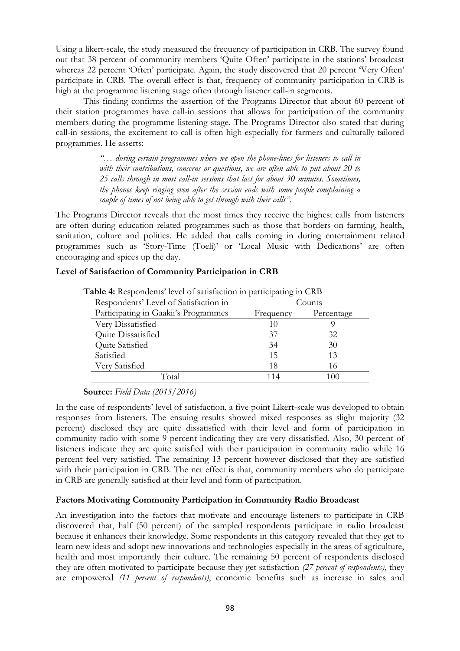Using a likert-scale, the study measured the frequency of participation in CRB. The survey found out that 38 percent of community members 'Quite Often' participate in the stations' broadcast whereas 22 percent 'Often' participate. Again, the study discovered that 20 percent 'Very Often' participate in CRB. The overall effect is that, frequency of community participation in CRB is high at the programme listening stage often through listener call-in segments.

This finding confirms the assertion of the Programs Director that about 60 percent of their station programmes have call-in sessions that allows for participation of the community members during the programme listening stage. The Programs Director also stated that during call-in sessions, the excitement to call is often high especially for farmers and culturally tailored programmes. He asserts:

> *"… during certain programmes where we open the phone-lines for listeners to call in with their contributions, concerns or questions, we are often able to put about 20 to 25 calls through in most call-in sessions that last for about 30 minutes. Sometimes, the phones keep ringing even after the session ends with some people complaining a couple of times of not being able to get through with their calls".*

The Programs Director reveals that the most times they receive the highest calls from listeners are often during education related programmes such as those that borders on farming, health, sanitation, culture and politics. He added that calls coming in during entertainment related programmes such as 'Story-Time (Toeli)' or 'Local Music with Dedications' are often encouraging and spices up the day.

| Table 4: Respondents' level of satisfaction in participating in CRB |           |            |  |
|---------------------------------------------------------------------|-----------|------------|--|
| Respondents' Level of Satisfaction in                               | Counts    |            |  |
| Participating in Gaakii's Programmes                                | Frequency | Percentage |  |
| Very Dissatisfied                                                   | 10        |            |  |
| Quite Dissatisfied                                                  | 37        | 32         |  |
| Quite Satisfied                                                     | 34        | 30         |  |
| Satisfied                                                           | 15        | 13         |  |
| Very Satisfied                                                      | 18        | 16         |  |
| Total                                                               | 114       | 100        |  |

# **Level of Satisfaction of Community Participation in CRB**

# **Source:** *Field Data (2015/2016)*

In the case of respondents' level of satisfaction, a five point Likert-scale was developed to obtain responses from listeners. The ensuing results showed mixed responses as slight majority (32 percent) disclosed they are quite dissatisfied with their level and form of participation in community radio with some 9 percent indicating they are very dissatisfied. Also, 30 percent of listeners indicate they are quite satisfied with their participation in community radio while 16 percent feel very satisfied. The remaining 13 percent however disclosed that they are satisfied with their participation in CRB. The net effect is that, community members who do participate in CRB are generally satisfied at their level and form of participation.

# **Factors Motivating Community Participation in Community Radio Broadcast**

An investigation into the factors that motivate and encourage listeners to participate in CRB discovered that, half (50 percent) of the sampled respondents participate in radio broadcast because it enhances their knowledge. Some respondents in this category revealed that they get to learn new ideas and adopt new innovations and technologies especially in the areas of agriculture, health and most importantly their culture. The remaining 50 percent of respondents disclosed they are often motivated to participate because they get satisfaction *(27 percent of respondents)*, they are empowered *(11 percent of respondents)*, economic benefits such as increase in sales and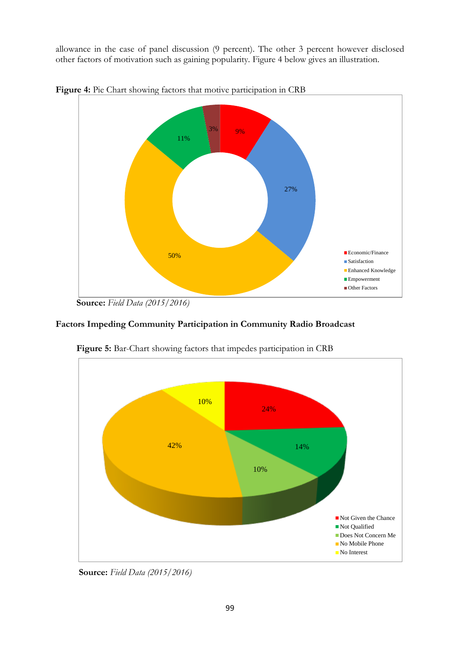allowance in the case of panel discussion (9 percent). The other 3 percent however disclosed other factors of motivation such as gaining popularity. Figure 4 below gives an illustration.



**Figure 4:** Pie Chart showing factors that motive participation in CRB

# **Factors Impeding Community Participation in Community Radio Broadcast**



 **Figure 5:** Bar-Chart showing factors that impedes participation in CRB

**Source:** *Field Data (2015/2016)*

**Source:** *Field Data (2015/2016)*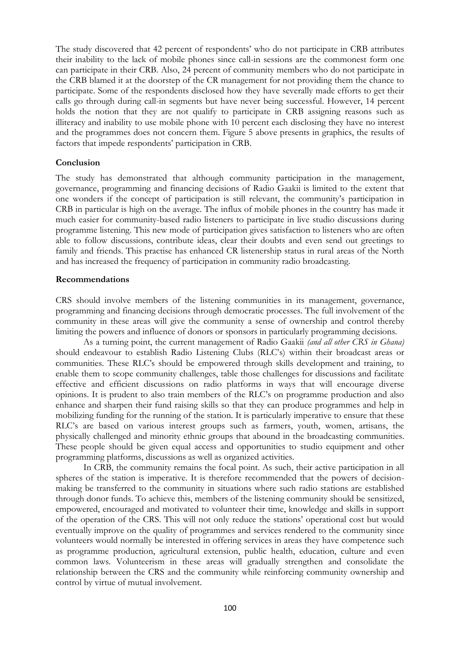The study discovered that 42 percent of respondents' who do not participate in CRB attributes their inability to the lack of mobile phones since call-in sessions are the commonest form one can participate in their CRB. Also, 24 percent of community members who do not participate in the CRB blamed it at the doorstep of the CR management for not providing them the chance to participate. Some of the respondents disclosed how they have severally made efforts to get their calls go through during call-in segments but have never being successful. However, 14 percent holds the notion that they are not qualify to participate in CRB assigning reasons such as illiteracy and inability to use mobile phone with 10 percent each disclosing they have no interest and the programmes does not concern them. Figure 5 above presents in graphics, the results of factors that impede respondents' participation in CRB.

## **Conclusion**

The study has demonstrated that although community participation in the management, governance, programming and financing decisions of Radio Gaakii is limited to the extent that one wonders if the concept of participation is still relevant, the community's participation in CRB in particular is high on the average. The influx of mobile phones in the country has made it much easier for community-based radio listeners to participate in live studio discussions during programme listening. This new mode of participation gives satisfaction to listeners who are often able to follow discussions, contribute ideas, clear their doubts and even send out greetings to family and friends. This practise has enhanced CR listenership status in rural areas of the North and has increased the frequency of participation in community radio broadcasting.

## **Recommendations**

CRS should involve members of the listening communities in its management, governance, programming and financing decisions through democratic processes. The full involvement of the community in these areas will give the community a sense of ownership and control thereby limiting the powers and influence of donors or sponsors in particularly programming decisions.

As a turning point, the current management of Radio Gaakii *(and all other CRS in Ghana)* should endeavour to establish Radio Listening Clubs (RLC's) within their broadcast areas or communities. These RLC's should be empowered through skills development and training, to enable them to scope community challenges, table those challenges for discussions and facilitate effective and efficient discussions on radio platforms in ways that will encourage diverse opinions. It is prudent to also train members of the RLC's on programme production and also enhance and sharpen their fund raising skills so that they can produce programmes and help in mobilizing funding for the running of the station. It is particularly imperative to ensure that these RLC's are based on various interest groups such as farmers, youth, women, artisans, the physically challenged and minority ethnic groups that abound in the broadcasting communities. These people should be given equal access and opportunities to studio equipment and other programming platforms, discussions as well as organized activities.

In CRB, the community remains the focal point. As such, their active participation in all spheres of the station is imperative. It is therefore recommended that the powers of decisionmaking be transferred to the community in situations where such radio stations are established through donor funds. To achieve this, members of the listening community should be sensitized, empowered, encouraged and motivated to volunteer their time, knowledge and skills in support of the operation of the CRS. This will not only reduce the stations' operational cost but would eventually improve on the quality of programmes and services rendered to the community since volunteers would normally be interested in offering services in areas they have competence such as programme production, agricultural extension, public health, education, culture and even common laws. Volunteerism in these areas will gradually strengthen and consolidate the relationship between the CRS and the community while reinforcing community ownership and control by virtue of mutual involvement.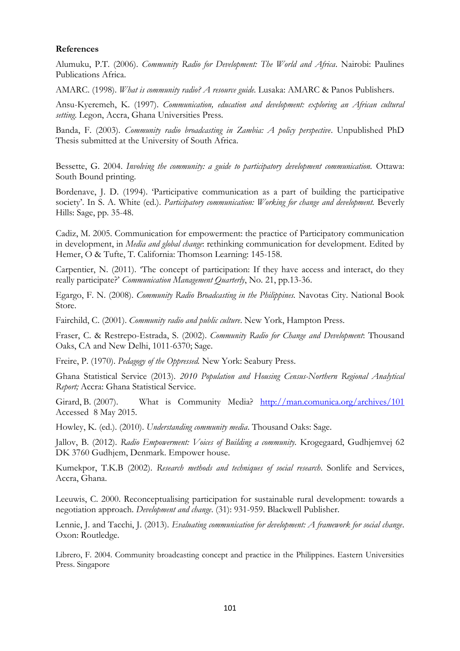## **References**

Alumuku, P.T. (2006). *Community Radio for Development: The World and Africa*. Nairobi: Paulines Publications Africa.

AMARC. (1998). *What is community radio? A resource guide.* Lusaka: AMARC & Panos Publishers.

Ansu-Kyeremeh, K. (1997). *Communication, education and development: exploring an African cultural setting*. Legon, Accra, Ghana Universities Press.

Banda, F. (2003). *Community radio broadcasting in Zambia: A policy perspective*. Unpublished PhD Thesis submitted at the University of South Africa.

Bessette, G. 2004. *Involving the community: a guide to participatory development communication.* Ottawa: South Bound printing.

Bordenave, J. D. (1994). 'Participative communication as a part of building the participative society'. In S. A. White (ed.). *Participatory communication: Working for change and development*. Beverly Hills: Sage, pp. 35-48.

Cadiz, M. 2005. Communication for empowerment: the practice of Participatory communication in development, in *Media and global change*: rethinking communication for development. Edited by Hemer, O & Tufte, T. California: Thomson Learning: 145-158.

Carpentier, N. (2011). 'The concept of participation: If they have access and interact, do they really participate?' *Communication Management Quarterly*, No. 21, pp.13-36.

Egargo, F. N. (2008). *Community Radio Broadcasting in the Philippines.* Navotas City. National Book Store.

Fairchild, C. (2001). *Community radio and public culture*. New York, Hampton Press.

Fraser, C. & Restrepo-Estrada, S. (2002). *Community Radio for Change and Development*: Thousand Oaks, CA and New Delhi, 1011-6370; Sage.

Freire, P. (1970). *Pedagogy of the Oppressed.* New York: Seabury Press.

Ghana Statistical Service (2013). *2010 Population and Housing Census-Northern Regional Analytical Report;* Accra: Ghana Statistical Service.

Girard, B. (2007). What is Community Media? <http://man.comunica.org/archives/101> Accessed 8 May 2015.

Howley, K. (ed.). (2010). *Understanding community media*. Thousand Oaks: Sage.

Jallov, B. (2012). *Radio Empowerment: Voices of Building a community.* Krogegaard, Gudhjemvej 62 DK 3760 Gudhjem, Denmark. Empower house.

Kumekpor, T.K.B (2002). *Research methods and techniques of social research*. Sonlife and Services, Accra, Ghana.

Leeuwis, C. 2000. Reconceptualising participation for sustainable rural development: towards a negotiation approach. *Development and change*. (31): 931-959. Blackwell Publisher.

Lennie, J. and Tacchi, J. (2013). *Evaluating communication for development: A framework for social change*. Oxon: Routledge.

Librero, F. 2004. Community broadcasting concept and practice in the Philippines. Eastern Universities Press. Singapore